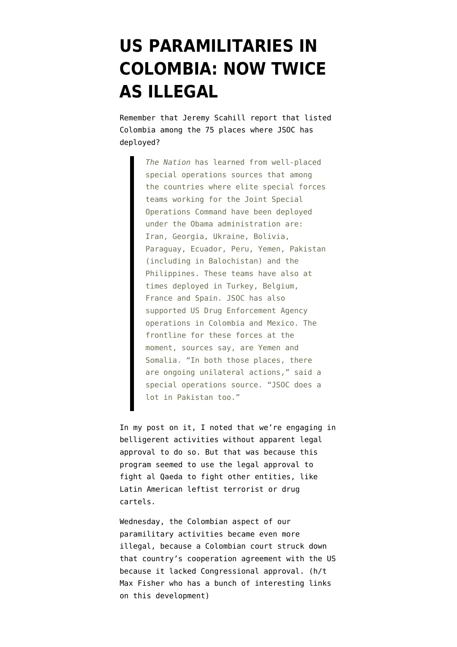## **[US PARAMILITARIES IN](https://www.emptywheel.net/2010/08/20/us-paramilitaries-in-colombia-illegal-now-twice-as-illegal/) [COLOMBIA: NOW TWICE](https://www.emptywheel.net/2010/08/20/us-paramilitaries-in-colombia-illegal-now-twice-as-illegal/) [AS ILLEGAL](https://www.emptywheel.net/2010/08/20/us-paramilitaries-in-colombia-illegal-now-twice-as-illegal/)**

Remember that Jeremy Scahill [report](http://www.thenation.com/blog/obamas-expanding-covert-wars) that listed Colombia among the 75 places where JSOC has deployed?

> *The Nation* has learned from well-placed special operations sources that among the countries where elite special forces teams working for the Joint Special Operations Command have been deployed under the Obama administration are: Iran, Georgia, Ukraine, Bolivia, Paraguay, Ecuador, Peru, Yemen, Pakistan (including in Balochistan) and the Philippines. These teams have also at times deployed in Turkey, Belgium, France and Spain. JSOC has also supported US Drug Enforcement Agency operations in Colombia and Mexico. The frontline for these forces at the moment, sources say, are Yemen and Somalia. "In both those places, there are ongoing unilateral actions," said a special operations source. "JSOC does a lot in Pakistan too."

In my post on it, I [noted](http://emptywheel.firedoglake.com/2010/06/05/the-illegal-war-on-latin-american-terrorism/) that we're engaging in belligerent activities without apparent legal approval to do so. But that was because this program seemed to use the legal approval to fight al Qaeda to fight other entities, like Latin American leftist terrorist or drug cartels.

Wednesday, the Colombian aspect of our paramilitary activities [became even more](http://latimesblogs.latimes.com/laplaza/2010/08/colombia-court-decision.html) [illegal,](http://latimesblogs.latimes.com/laplaza/2010/08/colombia-court-decision.html) because a Colombian court struck down that country's cooperation agreement with the US because it lacked Congressional approval. (h/t Max Fisher who has [a bunch of interesting links](http://www.theatlanticwire.com/opinions/view/opinion/Why-Colombian-Court-Says-US-Troops-Must-Leave-4771) [on this development](http://www.theatlanticwire.com/opinions/view/opinion/Why-Colombian-Court-Says-US-Troops-Must-Leave-4771))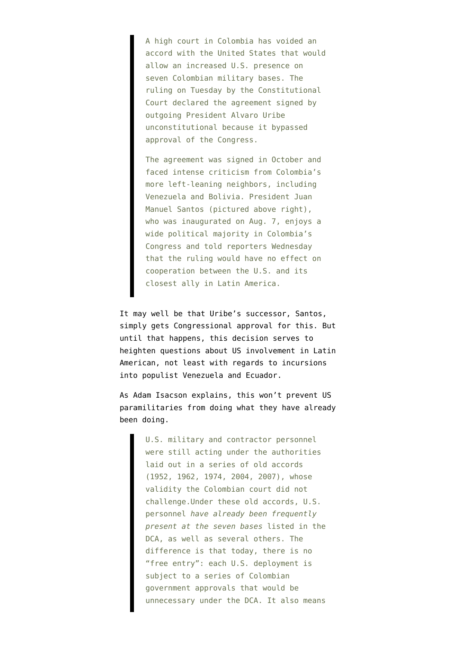A high court in Colombia has voided an accord with the United States that would allow an increased U.S. presence on seven Colombian military bases. The ruling on Tuesday by the Constitutional Court declared the agreement signed by outgoing President Alvaro Uribe unconstitutional because it bypassed approval of the Congress.

The agreement was signed in October and faced intense criticism from Colombia's more left-leaning neighbors, including Venezuela and Bolivia. President Juan Manuel Santos (pictured above right), who was inaugurated on Aug. 7, enjoys a wide political majority in Colombia's Congress and told reporters Wednesday that the ruling would have no effect on cooperation between the U.S. and its closest ally in Latin America.

It may well be that Uribe's successor, Santos, simply gets Congressional approval for this. But until that happens, this decision serves to heighten questions about US involvement in Latin American, not least with regards to incursions into populist Venezuela and Ecuador.

As [Adam Isacson explains,](http://justf.org/blog/2010/08/18/colombian-court-strikes-down-us-defense-agreement) this won't prevent US paramilitaries from doing what they have already been doing.

> U.S. military and contractor personnel were still acting under the authorities laid out in a series of old accords (1952, 1962, 1974, 2004, 2007), whose validity the Colombian court did not challenge.Under these old accords, U.S. personnel *have already been frequently present at the seven bases* listed in the DCA, as well as several others. The difference is that today, there is no "free entry": each U.S. deployment is subject to a series of Colombian government approvals that would be unnecessary under the DCA. It also means